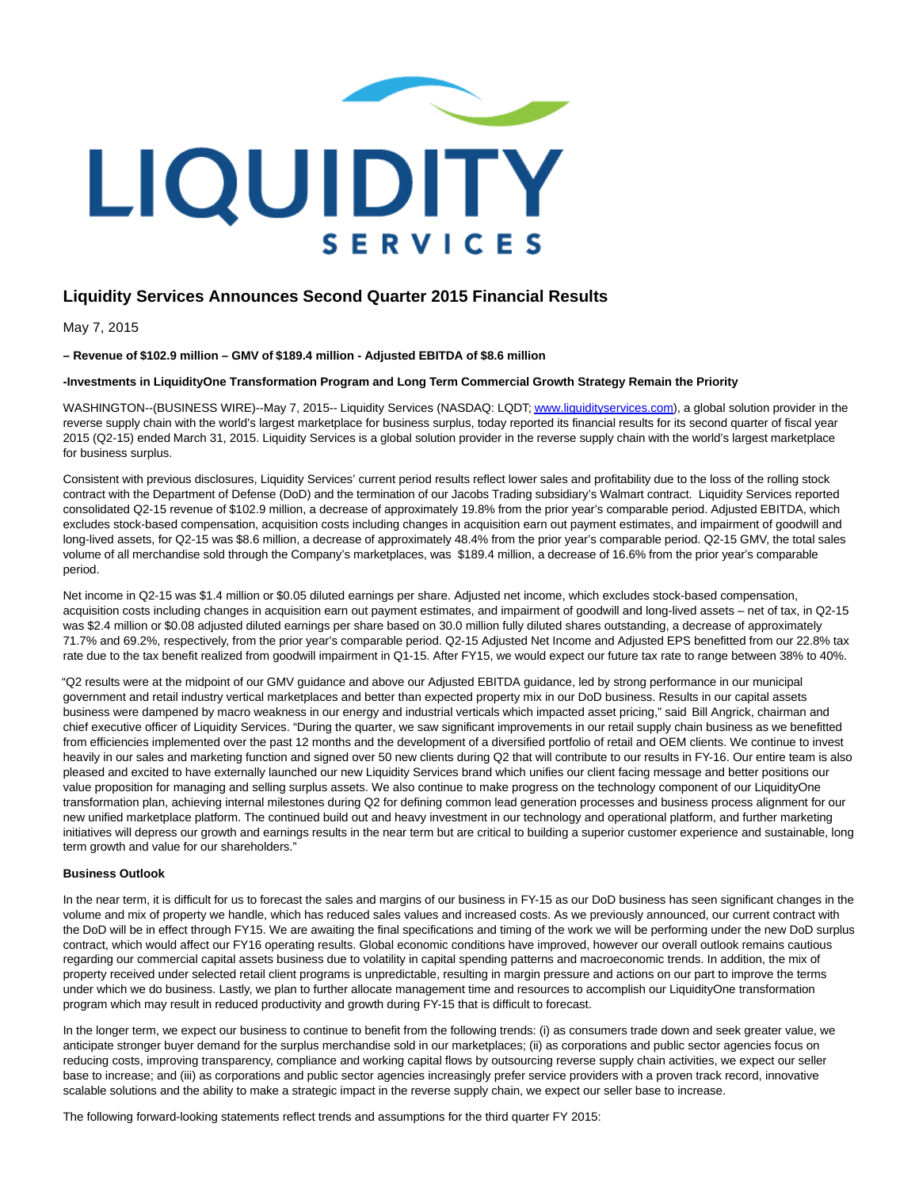

# **Liquidity Services Announces Second Quarter 2015 Financial Results**

May 7, 2015

**– Revenue of \$102.9 million – GMV of \$189.4 million - Adjusted EBITDA of \$8.6 million**

**-Investments in LiquidityOne Transformation Program and Long Term Commercial Growth Strategy Remain the Priority**

WASHINGTON--(BUSINESS WIRE)--May 7, 2015-- Liquidity Services (NASDAQ: LQDT[; www.liquidityservices.com\),](http://cts.businesswire.com/ct/CT?id=smartlink&url=http%3A%2F%2Fwww.liquidityservices.com&esheet=51097465&newsitemid=20150507005206&lan=en-US&anchor=www.liquidityservices.com&index=1&md5=c7bd0c75172c69f12db264b0fc1dada6) a global solution provider in the reverse supply chain with the world's largest marketplace for business surplus, today reported its financial results for its second quarter of fiscal year 2015 (Q2-15) ended March 31, 2015. Liquidity Services is a global solution provider in the reverse supply chain with the world's largest marketplace for business surplus.

Consistent with previous disclosures, Liquidity Services' current period results reflect lower sales and profitability due to the loss of the rolling stock contract with the Department of Defense (DoD) and the termination of our Jacobs Trading subsidiary's Walmart contract. Liquidity Services reported consolidated Q2-15 revenue of \$102.9 million, a decrease of approximately 19.8% from the prior year's comparable period. Adjusted EBITDA, which excludes stock-based compensation, acquisition costs including changes in acquisition earn out payment estimates, and impairment of goodwill and long-lived assets, for Q2-15 was \$8.6 million, a decrease of approximately 48.4% from the prior year's comparable period. Q2-15 GMV, the total sales volume of all merchandise sold through the Company's marketplaces, was \$189.4 million, a decrease of 16.6% from the prior year's comparable period.

Net income in Q2-15 was \$1.4 million or \$0.05 diluted earnings per share. Adjusted net income, which excludes stock-based compensation, acquisition costs including changes in acquisition earn out payment estimates, and impairment of goodwill and long-lived assets – net of tax, in Q2-15 was \$2.4 million or \$0.08 adjusted diluted earnings per share based on 30.0 million fully diluted shares outstanding, a decrease of approximately 71.7% and 69.2%, respectively, from the prior year's comparable period. Q2-15 Adjusted Net Income and Adjusted EPS benefitted from our 22.8% tax rate due to the tax benefit realized from goodwill impairment in Q1-15. After FY15, we would expect our future tax rate to range between 38% to 40%.

"Q2 results were at the midpoint of our GMV guidance and above our Adjusted EBITDA guidance, led by strong performance in our municipal government and retail industry vertical marketplaces and better than expected property mix in our DoD business. Results in our capital assets business were dampened by macro weakness in our energy and industrial verticals which impacted asset pricing," said Bill Angrick, chairman and chief executive officer of Liquidity Services. "During the quarter, we saw significant improvements in our retail supply chain business as we benefitted from efficiencies implemented over the past 12 months and the development of a diversified portfolio of retail and OEM clients. We continue to invest heavily in our sales and marketing function and signed over 50 new clients during Q2 that will contribute to our results in FY-16. Our entire team is also pleased and excited to have externally launched our new Liquidity Services brand which unifies our client facing message and better positions our value proposition for managing and selling surplus assets. We also continue to make progress on the technology component of our LiquidityOne transformation plan, achieving internal milestones during Q2 for defining common lead generation processes and business process alignment for our new unified marketplace platform. The continued build out and heavy investment in our technology and operational platform, and further marketing initiatives will depress our growth and earnings results in the near term but are critical to building a superior customer experience and sustainable, long term growth and value for our shareholders."

### **Business Outlook**

In the near term, it is difficult for us to forecast the sales and margins of our business in FY-15 as our DoD business has seen significant changes in the volume and mix of property we handle, which has reduced sales values and increased costs. As we previously announced, our current contract with the DoD will be in effect through FY15. We are awaiting the final specifications and timing of the work we will be performing under the new DoD surplus contract, which would affect our FY16 operating results. Global economic conditions have improved, however our overall outlook remains cautious regarding our commercial capital assets business due to volatility in capital spending patterns and macroeconomic trends. In addition, the mix of property received under selected retail client programs is unpredictable, resulting in margin pressure and actions on our part to improve the terms under which we do business. Lastly, we plan to further allocate management time and resources to accomplish our LiquidityOne transformation program which may result in reduced productivity and growth during FY-15 that is difficult to forecast.

In the longer term, we expect our business to continue to benefit from the following trends: (i) as consumers trade down and seek greater value, we anticipate stronger buyer demand for the surplus merchandise sold in our marketplaces; (ii) as corporations and public sector agencies focus on reducing costs, improving transparency, compliance and working capital flows by outsourcing reverse supply chain activities, we expect our seller base to increase; and (iii) as corporations and public sector agencies increasingly prefer service providers with a proven track record, innovative scalable solutions and the ability to make a strategic impact in the reverse supply chain, we expect our seller base to increase.

The following forward-looking statements reflect trends and assumptions for the third quarter FY 2015: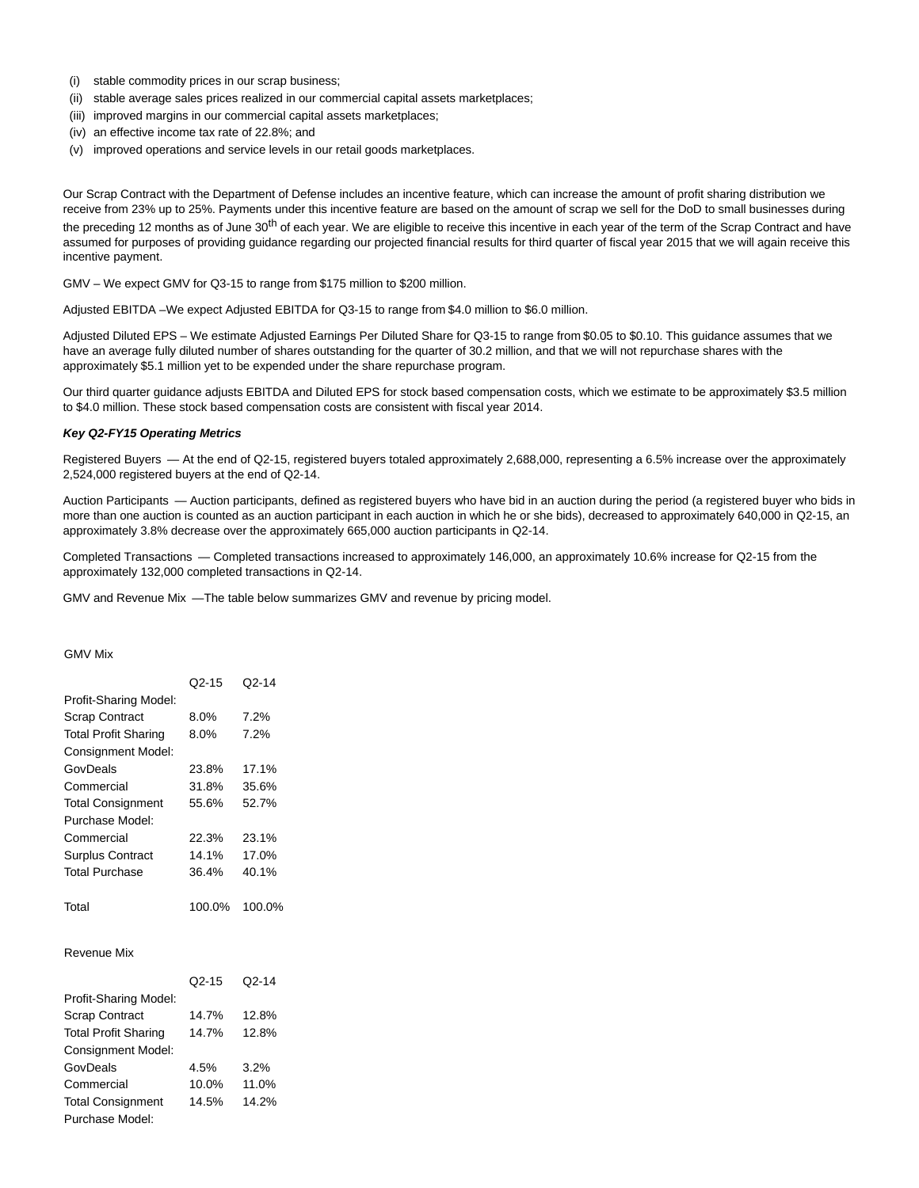- (i) stable commodity prices in our scrap business;
- (ii) stable average sales prices realized in our commercial capital assets marketplaces;
- (iii) improved margins in our commercial capital assets marketplaces;
- (iv) an effective income tax rate of 22.8%; and
- (v) improved operations and service levels in our retail goods marketplaces.

Our Scrap Contract with the Department of Defense includes an incentive feature, which can increase the amount of profit sharing distribution we receive from 23% up to 25%. Payments under this incentive feature are based on the amount of scrap we sell for the DoD to small businesses during the preceding 12 months as of June 30<sup>th</sup> of each year. We are eligible to receive this incentive in each year of the term of the Scrap Contract and have assumed for purposes of providing guidance regarding our projected financial results for third quarter of fiscal year 2015 that we will again receive this incentive payment.

GMV – We expect GMV for Q3-15 to range from \$175 million to \$200 million.

Adjusted EBITDA –We expect Adjusted EBITDA for Q3-15 to range from \$4.0 million to \$6.0 million.

Adjusted Diluted EPS – We estimate Adjusted Earnings Per Diluted Share for Q3-15 to range from \$0.05 to \$0.10. This guidance assumes that we have an average fully diluted number of shares outstanding for the quarter of 30.2 million, and that we will not repurchase shares with the approximately \$5.1 million yet to be expended under the share repurchase program.

Our third quarter guidance adjusts EBITDA and Diluted EPS for stock based compensation costs, which we estimate to be approximately \$3.5 million to \$4.0 million. These stock based compensation costs are consistent with fiscal year 2014.

#### **Key Q2-FY15 Operating Metrics**

Registered Buyers — At the end of Q2-15, registered buyers totaled approximately 2,688,000, representing a 6.5% increase over the approximately 2,524,000 registered buyers at the end of Q2-14.

Auction Participants — Auction participants, defined as registered buyers who have bid in an auction during the period (a registered buyer who bids in more than one auction is counted as an auction participant in each auction in which he or she bids), decreased to approximately 640,000 in Q2-15, an approximately 3.8% decrease over the approximately 665,000 auction participants in Q2-14.

Completed Transactions — Completed transactions increased to approximately 146,000, an approximately 10.6% increase for Q2-15 from the approximately 132,000 completed transactions in Q2-14.

GMV and Revenue Mix —The table below summarizes GMV and revenue by pricing model.

## GMV Mix

Purchase Model:

|                             | $Q2 - 15$ | Q <sub>2</sub> -14 |
|-----------------------------|-----------|--------------------|
| Profit-Sharing Model:       |           |                    |
| <b>Scrap Contract</b>       | 8.0%      | 7.2%               |
| <b>Total Profit Sharing</b> | 8.0%      | 7.2%               |
| <b>Consignment Model:</b>   |           |                    |
| GovDeals                    | 23.8%     | 17.1%              |
| Commercial                  | 31.8%     | 35.6%              |
| <b>Total Consignment</b>    | 55.6%     | 52.7%              |
| Purchase Model:             |           |                    |
| Commercial                  | 22.3%     | 23.1%              |
| <b>Surplus Contract</b>     | 14.1%     | 17.0%              |
| <b>Total Purchase</b>       | 36.4%     | 40.1%              |
|                             |           |                    |
| Total                       | 100.0%    | 100.0%             |
| Revenue Mix                 |           |                    |
|                             | $Q2 - 15$ | Q <sub>2</sub> -14 |
| Profit-Sharing Model:       |           |                    |
| <b>Scrap Contract</b>       | 14.7%     | 12.8%              |
| <b>Total Profit Sharing</b> | 14.7%     | 12.8%              |
| Consignment Model:          |           |                    |
| GovDeals                    | 4.5%      | 3.2%               |
| Commercial                  | 10.0%     | 11.0%              |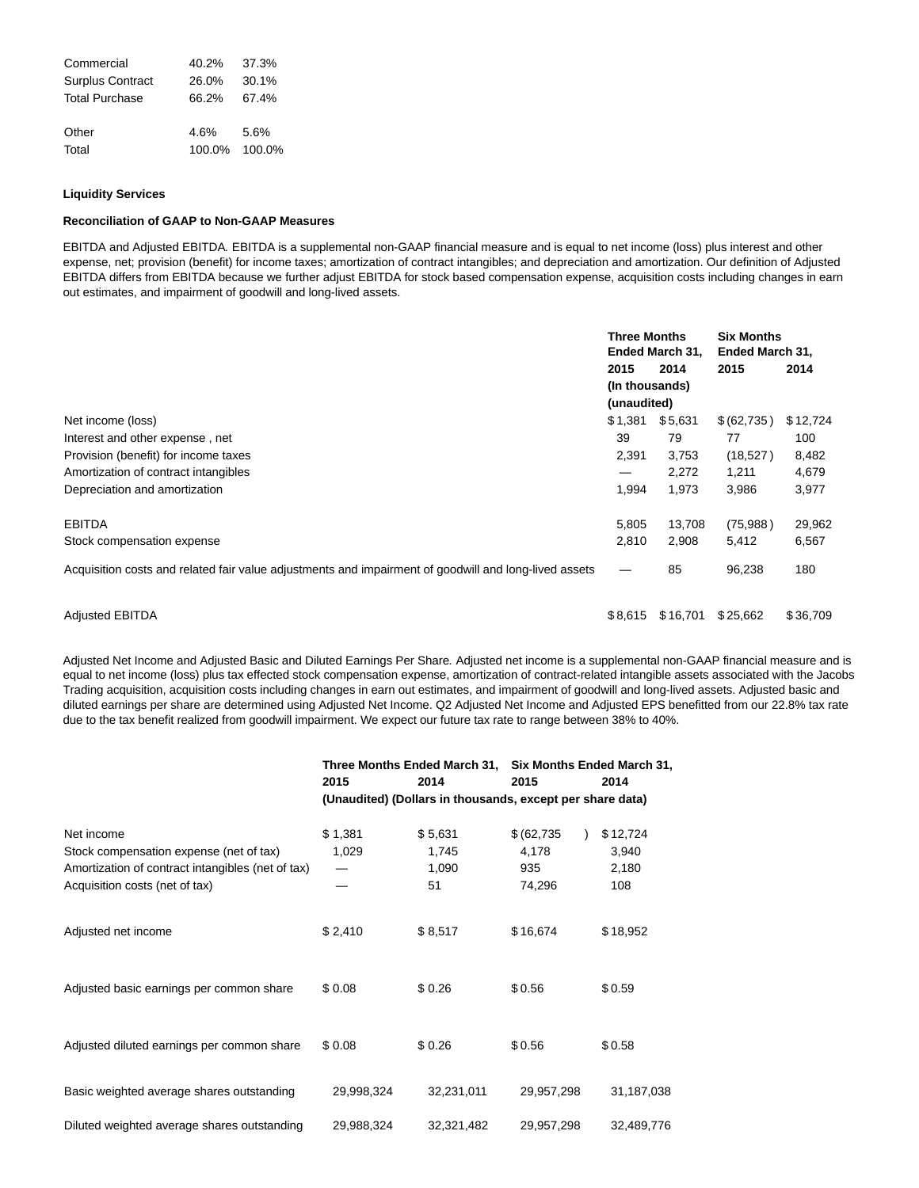| Commercial              | 40.2%  | 37.3%  |
|-------------------------|--------|--------|
| <b>Surplus Contract</b> | 26.0%  | 30.1%  |
| <b>Total Purchase</b>   | 66.2%  | 67.4%  |
| Other                   | 4.6%   | 5.6%   |
| Total                   | 100.0% | 100.0% |

### **Liquidity Services**

### **Reconciliation of GAAP to Non-GAAP Measures**

EBITDA and Adjusted EBITDA. EBITDA is a supplemental non-GAAP financial measure and is equal to net income (loss) plus interest and other expense, net; provision (benefit) for income taxes; amortization of contract intangibles; and depreciation and amortization. Our definition of Adjusted EBITDA differs from EBITDA because we further adjust EBITDA for stock based compensation expense, acquisition costs including changes in earn out estimates, and impairment of goodwill and long-lived assets.

|                                                                                                       | <b>Three Months</b> | Ended March 31, | <b>Six Months</b><br>Ended March 31, |          |
|-------------------------------------------------------------------------------------------------------|---------------------|-----------------|--------------------------------------|----------|
|                                                                                                       | 2015                | 2014            | 2015                                 | 2014     |
|                                                                                                       | (In thousands)      |                 |                                      |          |
|                                                                                                       | (unaudited)         |                 |                                      |          |
| Net income (loss)                                                                                     | \$1,381             | \$5,631         | \$(62,735)                           | \$12,724 |
| Interest and other expense, net                                                                       | 39                  | 79              | 77                                   | 100      |
| Provision (benefit) for income taxes                                                                  | 2,391               | 3,753           | (18,527)                             | 8,482    |
| Amortization of contract intangibles                                                                  | $\hspace{0.05cm}$   | 2,272           | 1,211                                | 4,679    |
| Depreciation and amortization                                                                         | 1,994               | 1,973           | 3,986                                | 3,977    |
| <b>EBITDA</b>                                                                                         | 5,805               | 13,708          | (75,988)                             | 29,962   |
| Stock compensation expense                                                                            | 2,810               | 2,908           | 5,412                                | 6,567    |
| Acquisition costs and related fair value adjustments and impairment of goodwill and long-lived assets |                     | 85              | 96,238                               | 180      |
| <b>Adjusted EBITDA</b>                                                                                | \$8,615             | \$16,701        | \$25,662                             | \$36,709 |

Adjusted Net Income and Adjusted Basic and Diluted Earnings Per Share. Adjusted net income is a supplemental non-GAAP financial measure and is equal to net income (loss) plus tax effected stock compensation expense, amortization of contract-related intangible assets associated with the Jacobs Trading acquisition, acquisition costs including changes in earn out estimates, and impairment of goodwill and long-lived assets. Adjusted basic and diluted earnings per share are determined using Adjusted Net Income. Q2 Adjusted Net Income and Adjusted EPS benefitted from our 22.8% tax rate due to the tax benefit realized from goodwill impairment. We expect our future tax rate to range between 38% to 40%.

|                                                   |                                                           | Three Months Ended March 31, |              | Six Months Ended March 31, |  |  |  |  |
|---------------------------------------------------|-----------------------------------------------------------|------------------------------|--------------|----------------------------|--|--|--|--|
|                                                   | 2015                                                      | 2014                         | 2015         | 2014                       |  |  |  |  |
|                                                   | (Unaudited) (Dollars in thousands, except per share data) |                              |              |                            |  |  |  |  |
| Net income                                        | \$1,381                                                   | \$5,631                      | \$ (62, 735) | \$12,724                   |  |  |  |  |
| Stock compensation expense (net of tax)           | 1,029                                                     | 1,745                        | 4,178        | 3,940                      |  |  |  |  |
| Amortization of contract intangibles (net of tax) |                                                           | 1,090                        | 935          | 2,180                      |  |  |  |  |
| Acquisition costs (net of tax)                    |                                                           | 51                           | 74,296       | 108                        |  |  |  |  |
| Adjusted net income                               | \$2,410                                                   | \$8,517                      | \$16,674     | \$18,952                   |  |  |  |  |
| Adjusted basic earnings per common share          | \$0.08                                                    | \$0.26                       | \$0.56       | \$0.59                     |  |  |  |  |
| Adjusted diluted earnings per common share        | \$0.08                                                    | \$0.26                       | \$0.56       | \$0.58                     |  |  |  |  |
| Basic weighted average shares outstanding         | 29,998,324                                                | 32,231,011                   | 29,957,298   | 31,187,038                 |  |  |  |  |
| Diluted weighted average shares outstanding       | 29,988,324                                                | 32,321,482                   | 29,957,298   | 32,489,776                 |  |  |  |  |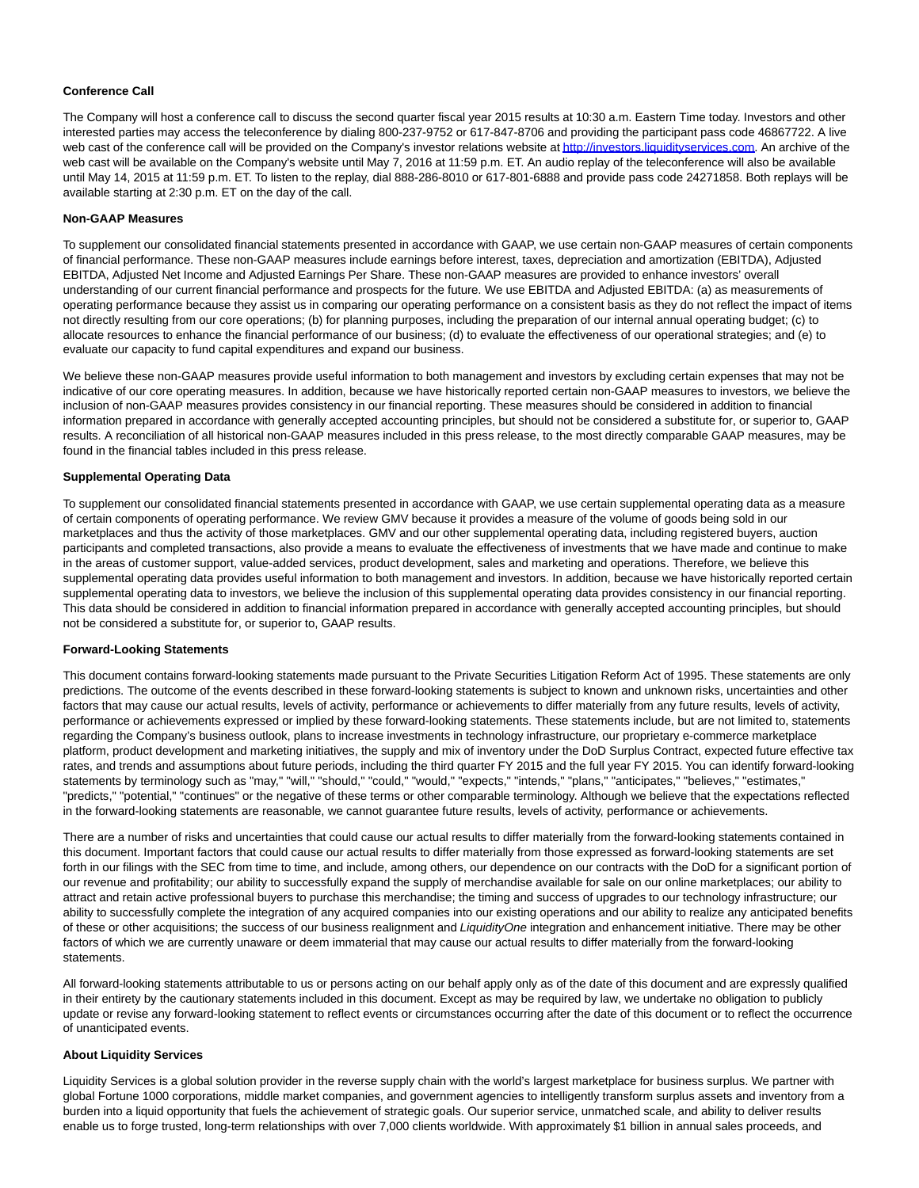### **Conference Call**

The Company will host a conference call to discuss the second quarter fiscal year 2015 results at 10:30 a.m. Eastern Time today. Investors and other interested parties may access the teleconference by dialing 800-237-9752 or 617-847-8706 and providing the participant pass code 46867722. A live web cast of the conference call will be provided on the Company's investor relations website a[t http://investors.liquidityservices.com.](http://cts.businesswire.com/ct/CT?id=smartlink&url=http%3A%2F%2Finvestors.liquidityservices.com&esheet=51097465&newsitemid=20150507005206&lan=en-US&anchor=http%3A%2F%2Finvestors.liquidityservices.com&index=2&md5=6de65fa0fdb8fee6239fbc5ff4b97948) An archive of the web cast will be available on the Company's website until May 7, 2016 at 11:59 p.m. ET. An audio replay of the teleconference will also be available until May 14, 2015 at 11:59 p.m. ET. To listen to the replay, dial 888-286-8010 or 617-801-6888 and provide pass code 24271858. Both replays will be available starting at 2:30 p.m. ET on the day of the call.

#### **Non-GAAP Measures**

To supplement our consolidated financial statements presented in accordance with GAAP, we use certain non-GAAP measures of certain components of financial performance. These non-GAAP measures include earnings before interest, taxes, depreciation and amortization (EBITDA), Adjusted EBITDA, Adjusted Net Income and Adjusted Earnings Per Share. These non-GAAP measures are provided to enhance investors' overall understanding of our current financial performance and prospects for the future. We use EBITDA and Adjusted EBITDA: (a) as measurements of operating performance because they assist us in comparing our operating performance on a consistent basis as they do not reflect the impact of items not directly resulting from our core operations; (b) for planning purposes, including the preparation of our internal annual operating budget; (c) to allocate resources to enhance the financial performance of our business; (d) to evaluate the effectiveness of our operational strategies; and (e) to evaluate our capacity to fund capital expenditures and expand our business.

We believe these non-GAAP measures provide useful information to both management and investors by excluding certain expenses that may not be indicative of our core operating measures. In addition, because we have historically reported certain non-GAAP measures to investors, we believe the inclusion of non-GAAP measures provides consistency in our financial reporting. These measures should be considered in addition to financial information prepared in accordance with generally accepted accounting principles, but should not be considered a substitute for, or superior to, GAAP results. A reconciliation of all historical non-GAAP measures included in this press release, to the most directly comparable GAAP measures, may be found in the financial tables included in this press release.

#### **Supplemental Operating Data**

To supplement our consolidated financial statements presented in accordance with GAAP, we use certain supplemental operating data as a measure of certain components of operating performance. We review GMV because it provides a measure of the volume of goods being sold in our marketplaces and thus the activity of those marketplaces. GMV and our other supplemental operating data, including registered buyers, auction participants and completed transactions, also provide a means to evaluate the effectiveness of investments that we have made and continue to make in the areas of customer support, value-added services, product development, sales and marketing and operations. Therefore, we believe this supplemental operating data provides useful information to both management and investors. In addition, because we have historically reported certain supplemental operating data to investors, we believe the inclusion of this supplemental operating data provides consistency in our financial reporting. This data should be considered in addition to financial information prepared in accordance with generally accepted accounting principles, but should not be considered a substitute for, or superior to, GAAP results.

#### **Forward-Looking Statements**

This document contains forward-looking statements made pursuant to the Private Securities Litigation Reform Act of 1995. These statements are only predictions. The outcome of the events described in these forward-looking statements is subject to known and unknown risks, uncertainties and other factors that may cause our actual results, levels of activity, performance or achievements to differ materially from any future results, levels of activity, performance or achievements expressed or implied by these forward-looking statements. These statements include, but are not limited to, statements regarding the Company's business outlook, plans to increase investments in technology infrastructure, our proprietary e-commerce marketplace platform, product development and marketing initiatives, the supply and mix of inventory under the DoD Surplus Contract, expected future effective tax rates, and trends and assumptions about future periods, including the third quarter FY 2015 and the full year FY 2015. You can identify forward-looking statements by terminology such as "may," "will," "should," "could," "would," "expects," "intends," "plans," "anticipates," "believes," "estimates," "predicts," "potential," "continues" or the negative of these terms or other comparable terminology. Although we believe that the expectations reflected in the forward-looking statements are reasonable, we cannot guarantee future results, levels of activity, performance or achievements.

There are a number of risks and uncertainties that could cause our actual results to differ materially from the forward-looking statements contained in this document. Important factors that could cause our actual results to differ materially from those expressed as forward-looking statements are set forth in our filings with the SEC from time to time, and include, among others, our dependence on our contracts with the DoD for a significant portion of our revenue and profitability; our ability to successfully expand the supply of merchandise available for sale on our online marketplaces; our ability to attract and retain active professional buyers to purchase this merchandise; the timing and success of upgrades to our technology infrastructure; our ability to successfully complete the integration of any acquired companies into our existing operations and our ability to realize any anticipated benefits of these or other acquisitions; the success of our business realignment and *LiquidityOne* integration and enhancement initiative. There may be other factors of which we are currently unaware or deem immaterial that may cause our actual results to differ materially from the forward-looking statements.

All forward-looking statements attributable to us or persons acting on our behalf apply only as of the date of this document and are expressly qualified in their entirety by the cautionary statements included in this document. Except as may be required by law, we undertake no obligation to publicly update or revise any forward-looking statement to reflect events or circumstances occurring after the date of this document or to reflect the occurrence of unanticipated events.

## **About Liquidity Services**

Liquidity Services is a global solution provider in the reverse supply chain with the world's largest marketplace for business surplus. We partner with global Fortune 1000 corporations, middle market companies, and government agencies to intelligently transform surplus assets and inventory from a burden into a liquid opportunity that fuels the achievement of strategic goals. Our superior service, unmatched scale, and ability to deliver results enable us to forge trusted, long-term relationships with over 7,000 clients worldwide. With approximately \$1 billion in annual sales proceeds, and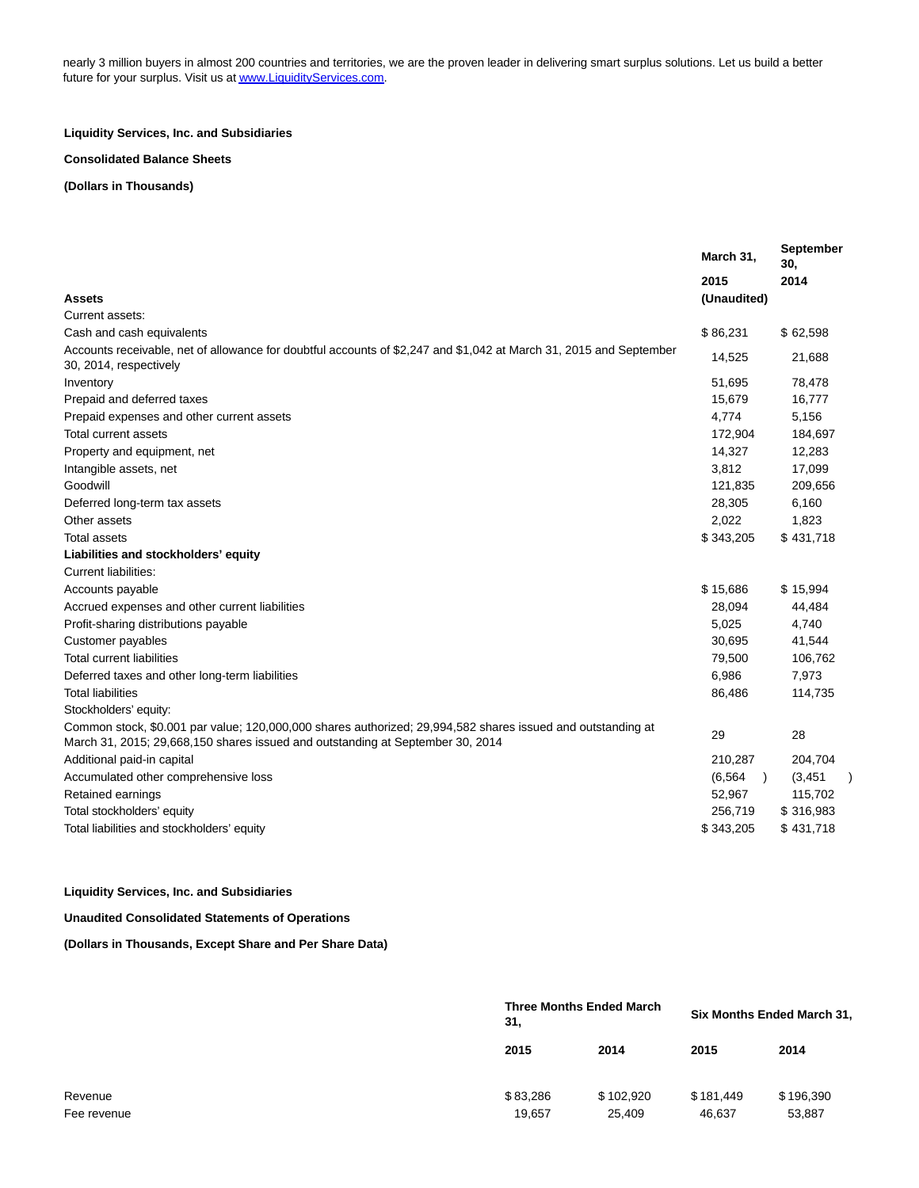nearly 3 million buyers in almost 200 countries and territories, we are the proven leader in delivering smart surplus solutions. Let us build a better future for your surplus. Visit us a[t www.LiquidityServices.com.](http://cts.businesswire.com/ct/CT?id=smartlink&url=http%3A%2F%2Fwww.LiquidityServices.com&esheet=51097465&newsitemid=20150507005206&lan=en-US&anchor=www.LiquidityServices.com&index=3&md5=8453c3af1412bcd39745f5a994ddc642)

## **Liquidity Services, Inc. and Subsidiaries**

## **Consolidated Balance Sheets**

**(Dollars in Thousands)**

|                                                                                                                                                                                               | March 31,   | September<br>30.          |
|-----------------------------------------------------------------------------------------------------------------------------------------------------------------------------------------------|-------------|---------------------------|
|                                                                                                                                                                                               | 2015        | 2014                      |
| Assets                                                                                                                                                                                        | (Unaudited) |                           |
| Current assets:                                                                                                                                                                               |             |                           |
| Cash and cash equivalents                                                                                                                                                                     | \$86,231    | \$62,598                  |
| Accounts receivable, net of allowance for doubtful accounts of \$2,247 and \$1,042 at March 31, 2015 and September<br>30, 2014, respectively                                                  | 14,525      | 21,688                    |
| Inventory                                                                                                                                                                                     | 51,695      | 78,478                    |
| Prepaid and deferred taxes                                                                                                                                                                    | 15,679      | 16,777                    |
| Prepaid expenses and other current assets                                                                                                                                                     | 4,774       | 5,156                     |
| Total current assets                                                                                                                                                                          | 172,904     | 184,697                   |
| Property and equipment, net                                                                                                                                                                   | 14,327      | 12,283                    |
| Intangible assets, net                                                                                                                                                                        | 3,812       | 17,099                    |
| Goodwill                                                                                                                                                                                      | 121,835     | 209,656                   |
| Deferred long-term tax assets                                                                                                                                                                 | 28,305      | 6,160                     |
| Other assets                                                                                                                                                                                  | 2,022       | 1,823                     |
| <b>Total assets</b>                                                                                                                                                                           | \$343,205   | \$431,718                 |
| Liabilities and stockholders' equity                                                                                                                                                          |             |                           |
| Current liabilities:                                                                                                                                                                          |             |                           |
| Accounts payable                                                                                                                                                                              | \$15,686    | \$15,994                  |
| Accrued expenses and other current liabilities                                                                                                                                                | 28,094      | 44,484                    |
| Profit-sharing distributions payable                                                                                                                                                          | 5,025       | 4,740                     |
| Customer payables                                                                                                                                                                             | 30,695      | 41,544                    |
| <b>Total current liabilities</b>                                                                                                                                                              | 79,500      | 106,762                   |
| Deferred taxes and other long-term liabilities                                                                                                                                                | 6,986       | 7,973                     |
| <b>Total liabilities</b>                                                                                                                                                                      | 86,486      | 114,735                   |
| Stockholders' equity:                                                                                                                                                                         |             |                           |
| Common stock, \$0.001 par value; 120,000,000 shares authorized; 29,994,582 shares issued and outstanding at<br>March 31, 2015; 29,668,150 shares issued and outstanding at September 30, 2014 | 29          | 28                        |
| Additional paid-in capital                                                                                                                                                                    | 210,287     | 204,704                   |
| Accumulated other comprehensive loss                                                                                                                                                          | (6, 564)    | (3, 451)<br>$\rightarrow$ |
| Retained earnings                                                                                                                                                                             | 52,967      | 115,702                   |
| Total stockholders' equity                                                                                                                                                                    | 256,719     | \$316,983                 |
| Total liabilities and stockholders' equity                                                                                                                                                    | \$343,205   | \$431,718                 |
|                                                                                                                                                                                               |             |                           |

## **Liquidity Services, Inc. and Subsidiaries**

### **Unaudited Consolidated Statements of Operations**

**(Dollars in Thousands, Except Share and Per Share Data)**

|                        | <b>Three Months Ended March</b><br>31, |                     | Six Months Ended March 31, |                     |  |  |
|------------------------|----------------------------------------|---------------------|----------------------------|---------------------|--|--|
|                        | 2015                                   | 2014                | 2015                       | 2014                |  |  |
| Revenue<br>Fee revenue | \$83,286<br>19,657                     | \$102,920<br>25,409 | \$181.449<br>46,637        | \$196,390<br>53,887 |  |  |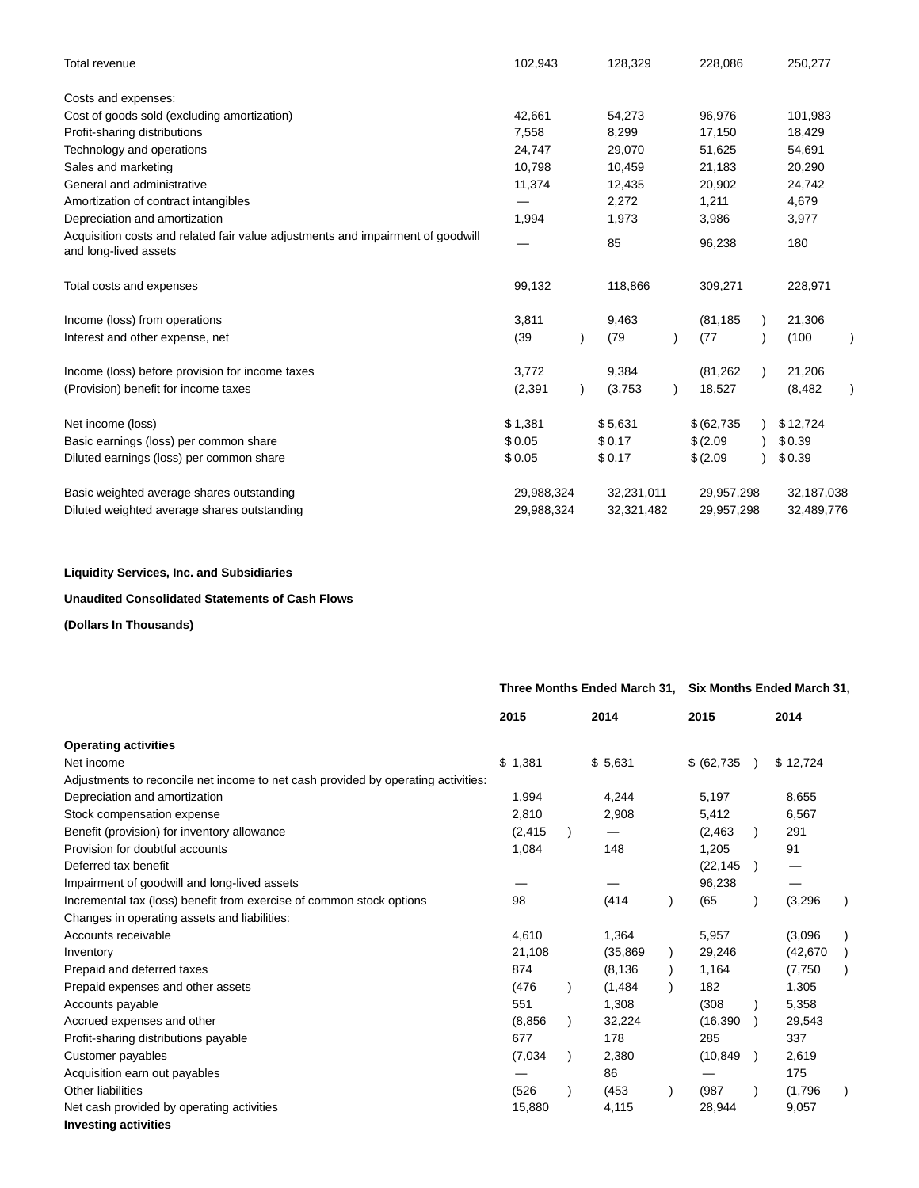| Total revenue                                                                                            | 102,943    | 128,329    | 228,086      | 250,277    |
|----------------------------------------------------------------------------------------------------------|------------|------------|--------------|------------|
| Costs and expenses:                                                                                      |            |            |              |            |
| Cost of goods sold (excluding amortization)                                                              | 42,661     | 54,273     | 96,976       | 101,983    |
| Profit-sharing distributions                                                                             | 7,558      | 8,299      | 17,150       | 18,429     |
| Technology and operations                                                                                | 24,747     | 29,070     | 51,625       | 54,691     |
| Sales and marketing                                                                                      | 10,798     | 10,459     | 21,183       | 20,290     |
| General and administrative                                                                               | 11,374     | 12,435     | 20,902       | 24,742     |
| Amortization of contract intangibles                                                                     |            | 2,272      | 1,211        | 4,679      |
| Depreciation and amortization                                                                            | 1,994      | 1,973      | 3,986        | 3,977      |
| Acquisition costs and related fair value adjustments and impairment of goodwill<br>and long-lived assets |            | 85         | 96,238       | 180        |
| Total costs and expenses                                                                                 | 99,132     | 118,866    | 309,271      | 228,971    |
| Income (loss) from operations                                                                            | 3,811      | 9,463      | (81, 185)    | 21,306     |
| Interest and other expense, net                                                                          | (39)       | (79)       | (77)         | (100)      |
| Income (loss) before provision for income taxes                                                          | 3,772      | 9,384      | (81, 262)    | 21,206     |
| (Provision) benefit for income taxes                                                                     | (2, 391)   | (3,753)    | 18,527       | (8, 482)   |
| Net income (loss)                                                                                        | \$1,381    | \$5,631    | \$ (62, 735) | \$12,724   |
| Basic earnings (loss) per common share                                                                   | \$0.05     | \$0.17     | \$ (2.09)    | \$0.39     |
| Diluted earnings (loss) per common share                                                                 | \$0.05     | \$0.17     | \$ (2.09)    | \$0.39     |
| Basic weighted average shares outstanding                                                                | 29,988,324 | 32,231,011 | 29,957,298   | 32,187,038 |
| Diluted weighted average shares outstanding                                                              | 29,988,324 | 32,321,482 | 29,957,298   | 32,489,776 |

## **Liquidity Services, Inc. and Subsidiaries**

## **Unaudited Consolidated Statements of Cash Flows**

## **(Dollars In Thousands)**

|                                                                                   | Three Months Ended March 31, Six Months Ended March 31, |  |           |  |              |  |           |  |
|-----------------------------------------------------------------------------------|---------------------------------------------------------|--|-----------|--|--------------|--|-----------|--|
|                                                                                   | 2015                                                    |  | 2014      |  | 2015         |  | 2014      |  |
| <b>Operating activities</b>                                                       |                                                         |  |           |  |              |  |           |  |
| Net income                                                                        | \$1,381                                                 |  | \$5,631   |  | \$ (62, 735) |  | \$12,724  |  |
| Adjustments to reconcile net income to net cash provided by operating activities: |                                                         |  |           |  |              |  |           |  |
| Depreciation and amortization                                                     | 1,994                                                   |  | 4,244     |  | 5,197        |  | 8,655     |  |
| Stock compensation expense                                                        | 2,810                                                   |  | 2,908     |  | 5,412        |  | 6,567     |  |
| Benefit (provision) for inventory allowance                                       | (2, 415)                                                |  |           |  | (2, 463)     |  | 291       |  |
| Provision for doubtful accounts                                                   | 1,084                                                   |  | 148       |  | 1,205        |  | 91        |  |
| Deferred tax benefit                                                              |                                                         |  |           |  | (22, 145)    |  |           |  |
| Impairment of goodwill and long-lived assets                                      |                                                         |  |           |  | 96,238       |  |           |  |
| Incremental tax (loss) benefit from exercise of common stock options              | 98                                                      |  | (414)     |  | (65)         |  | (3,296)   |  |
| Changes in operating assets and liabilities:                                      |                                                         |  |           |  |              |  |           |  |
| Accounts receivable                                                               | 4,610                                                   |  | 1,364     |  | 5,957        |  | (3.096)   |  |
| Inventory                                                                         | 21,108                                                  |  | (35, 869) |  | 29,246       |  | (42, 670) |  |
| Prepaid and deferred taxes                                                        | 874                                                     |  | (8, 136)  |  | 1,164        |  | (7,750)   |  |
| Prepaid expenses and other assets                                                 | (476)                                                   |  | (1, 484)  |  | 182          |  | 1,305     |  |
| Accounts payable                                                                  | 551                                                     |  | 1,308     |  | (308)        |  | 5,358     |  |
| Accrued expenses and other                                                        | (8, 856)                                                |  | 32,224    |  | (16, 390)    |  | 29,543    |  |
| Profit-sharing distributions payable                                              | 677                                                     |  | 178       |  | 285          |  | 337       |  |
| Customer payables                                                                 | (7,034)                                                 |  | 2,380     |  | (10, 849)    |  | 2,619     |  |
| Acquisition earn out payables                                                     |                                                         |  | 86        |  |              |  | 175       |  |
| Other liabilities                                                                 | (526)                                                   |  | (453)     |  | (987)        |  | (1,796)   |  |
| Net cash provided by operating activities                                         | 15,880                                                  |  | 4,115     |  | 28,944       |  | 9,057     |  |
| <b>Investing activities</b>                                                       |                                                         |  |           |  |              |  |           |  |